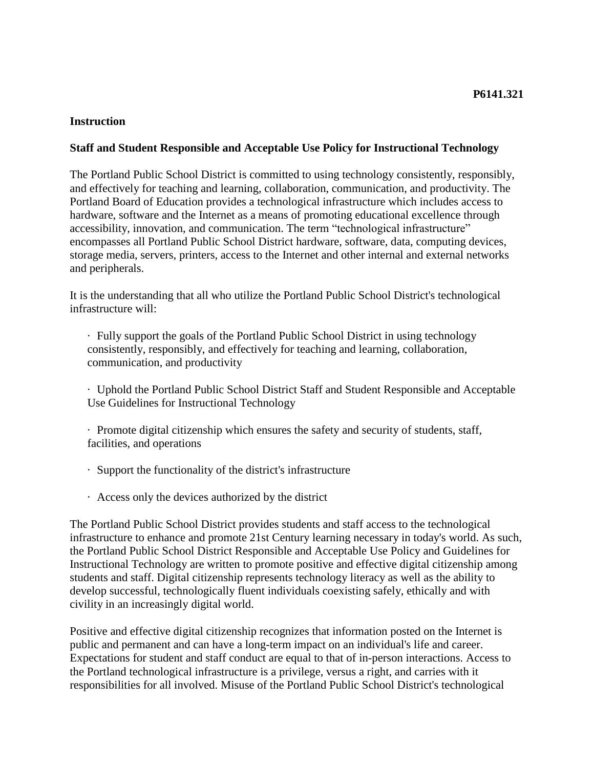#### **Instruction**

### **Staff and Student Responsible and Acceptable Use Policy for Instructional Technology**

The Portland Public School District is committed to using technology consistently, responsibly, and effectively for teaching and learning, collaboration, communication, and productivity. The Portland Board of Education provides a technological infrastructure which includes access to hardware, software and the Internet as a means of promoting educational excellence through accessibility, innovation, and communication. The term "technological infrastructure" encompasses all Portland Public School District hardware, software, data, computing devices, storage media, servers, printers, access to the Internet and other internal and external networks and peripherals.

It is the understanding that all who utilize the Portland Public School District's technological infrastructure will:

· Fully support the goals of the Portland Public School District in using technology consistently, responsibly, and effectively for teaching and learning, collaboration, communication, and productivity

· Uphold the Portland Public School District Staff and Student Responsible and Acceptable Use Guidelines for Instructional Technology

· Promote digital citizenship which ensures the safety and security of students, staff, facilities, and operations

- · Support the functionality of the district's infrastructure
- · Access only the devices authorized by the district

The Portland Public School District provides students and staff access to the technological infrastructure to enhance and promote 21st Century learning necessary in today's world. As such, the Portland Public School District Responsible and Acceptable Use Policy and Guidelines for Instructional Technology are written to promote positive and effective digital citizenship among students and staff. Digital citizenship represents technology literacy as well as the ability to develop successful, technologically fluent individuals coexisting safely, ethically and with civility in an increasingly digital world.

Positive and effective digital citizenship recognizes that information posted on the Internet is public and permanent and can have a long-term impact on an individual's life and career. Expectations for student and staff conduct are equal to that of in-person interactions. Access to the Portland technological infrastructure is a privilege, versus a right, and carries with it responsibilities for all involved. Misuse of the Portland Public School District's technological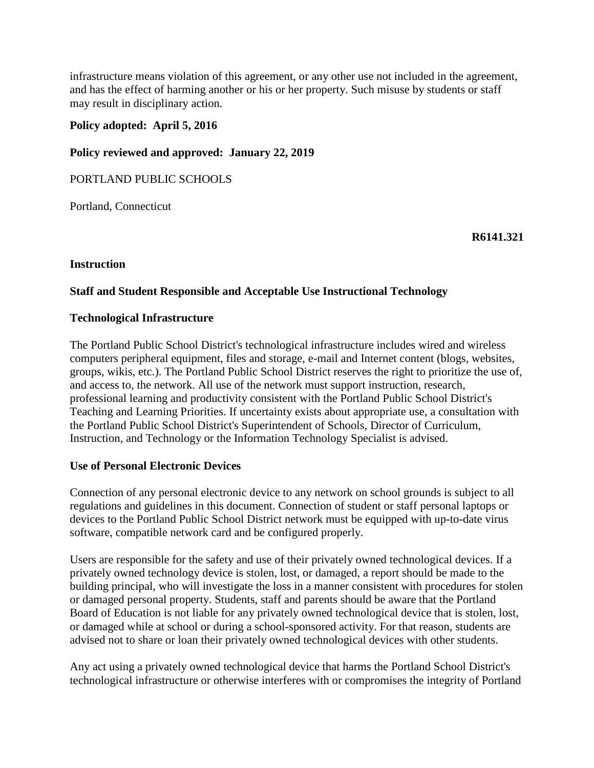infrastructure means violation of this agreement, or any other use not included in the agreement, and has the effect of harming another or his or her property. Such misuse by students or staff may result in disciplinary action.

### **Policy adopted: April 5, 2016**

### **Policy reviewed and approved: January 22, 2019**

PORTLAND PUBLIC SCHOOLS

Portland, Connecticut

**R6141.321**

#### **Instruction**

#### **Staff and Student Responsible and Acceptable Use Instructional Technology**

#### **Technological Infrastructure**

The Portland Public School District's technological infrastructure includes wired and wireless computers peripheral equipment, files and storage, e-mail and Internet content (blogs, websites, groups, wikis, etc.). The Portland Public School District reserves the right to prioritize the use of, and access to, the network. All use of the network must support instruction, research, professional learning and productivity consistent with the Portland Public School District's Teaching and Learning Priorities. If uncertainty exists about appropriate use, a consultation with the Portland Public School District's Superintendent of Schools, Director of Curriculum, Instruction, and Technology or the Information Technology Specialist is advised.

#### **Use of Personal Electronic Devices**

Connection of any personal electronic device to any network on school grounds is subject to all regulations and guidelines in this document. Connection of student or staff personal laptops or devices to the Portland Public School District network must be equipped with up-to-date virus software, compatible network card and be configured properly.

Users are responsible for the safety and use of their privately owned technological devices. If a privately owned technology device is stolen, lost, or damaged, a report should be made to the building principal, who will investigate the loss in a manner consistent with procedures for stolen or damaged personal property. Students, staff and parents should be aware that the Portland Board of Education is not liable for any privately owned technological device that is stolen, lost, or damaged while at school or during a school-sponsored activity. For that reason, students are advised not to share or loan their privately owned technological devices with other students.

Any act using a privately owned technological device that harms the Portland School District's technological infrastructure or otherwise interferes with or compromises the integrity of Portland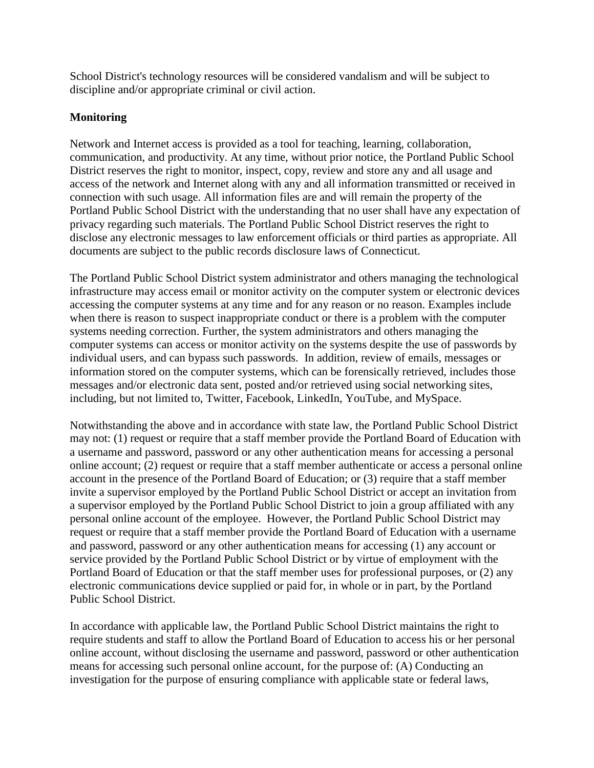School District's technology resources will be considered vandalism and will be subject to discipline and/or appropriate criminal or civil action.

### **Monitoring**

Network and Internet access is provided as a tool for teaching, learning, collaboration, communication, and productivity. At any time, without prior notice, the Portland Public School District reserves the right to monitor, inspect, copy, review and store any and all usage and access of the network and Internet along with any and all information transmitted or received in connection with such usage. All information files are and will remain the property of the Portland Public School District with the understanding that no user shall have any expectation of privacy regarding such materials. The Portland Public School District reserves the right to disclose any electronic messages to law enforcement officials or third parties as appropriate. All documents are subject to the public records disclosure laws of Connecticut.

The Portland Public School District system administrator and others managing the technological infrastructure may access email or monitor activity on the computer system or electronic devices accessing the computer systems at any time and for any reason or no reason. Examples include when there is reason to suspect inappropriate conduct or there is a problem with the computer systems needing correction. Further, the system administrators and others managing the computer systems can access or monitor activity on the systems despite the use of passwords by individual users, and can bypass such passwords. In addition, review of emails, messages or information stored on the computer systems, which can be forensically retrieved, includes those messages and/or electronic data sent, posted and/or retrieved using social networking sites, including, but not limited to, Twitter, Facebook, LinkedIn, YouTube, and MySpace.

Notwithstanding the above and in accordance with state law, the Portland Public School District may not: (1) request or require that a staff member provide the Portland Board of Education with a username and password, password or any other authentication means for accessing a personal online account; (2) request or require that a staff member authenticate or access a personal online account in the presence of the Portland Board of Education; or (3) require that a staff member invite a supervisor employed by the Portland Public School District or accept an invitation from a supervisor employed by the Portland Public School District to join a group affiliated with any personal online account of the employee. However, the Portland Public School District may request or require that a staff member provide the Portland Board of Education with a username and password, password or any other authentication means for accessing (1) any account or service provided by the Portland Public School District or by virtue of employment with the Portland Board of Education or that the staff member uses for professional purposes, or (2) any electronic communications device supplied or paid for, in whole or in part, by the Portland Public School District.

In accordance with applicable law, the Portland Public School District maintains the right to require students and staff to allow the Portland Board of Education to access his or her personal online account, without disclosing the username and password, password or other authentication means for accessing such personal online account, for the purpose of: (A) Conducting an investigation for the purpose of ensuring compliance with applicable state or federal laws,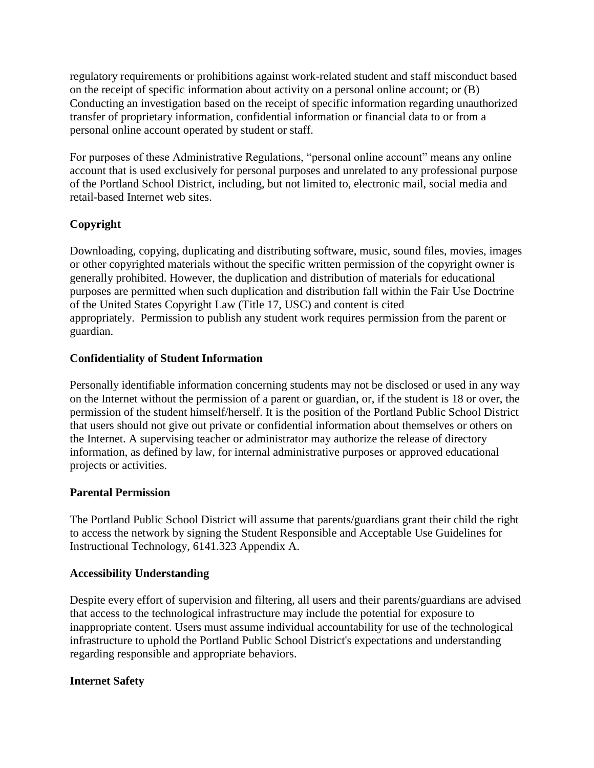regulatory requirements or prohibitions against work-related student and staff misconduct based on the receipt of specific information about activity on a personal online account; or (B) Conducting an investigation based on the receipt of specific information regarding unauthorized transfer of proprietary information, confidential information or financial data to or from a personal online account operated by student or staff.

For purposes of these Administrative Regulations, "personal online account" means any online account that is used exclusively for personal purposes and unrelated to any professional purpose of the Portland School District, including, but not limited to, electronic mail, social media and retail-based Internet web sites.

# **Copyright**

Downloading, copying, duplicating and distributing software, music, sound files, movies, images or other copyrighted materials without the specific written permission of the copyright owner is generally prohibited. However, the duplication and distribution of materials for educational purposes are permitted when such duplication and distribution fall within the Fair Use Doctrine of the United States Copyright Law (Title 17, USC) and content is cited appropriately. Permission to publish any student work requires permission from the parent or guardian.

# **Confidentiality of Student Information**

Personally identifiable information concerning students may not be disclosed or used in any way on the Internet without the permission of a parent or guardian, or, if the student is 18 or over, the permission of the student himself/herself. It is the position of the Portland Public School District that users should not give out private or confidential information about themselves or others on the Internet. A supervising teacher or administrator may authorize the release of directory information, as defined by law, for internal administrative purposes or approved educational projects or activities.

# **Parental Permission**

The Portland Public School District will assume that parents/guardians grant their child the right to access the network by signing the Student Responsible and Acceptable Use Guidelines for Instructional Technology, 6141.323 Appendix A.

# **Accessibility Understanding**

Despite every effort of supervision and filtering, all users and their parents/guardians are advised that access to the technological infrastructure may include the potential for exposure to inappropriate content. Users must assume individual accountability for use of the technological infrastructure to uphold the Portland Public School District's expectations and understanding regarding responsible and appropriate behaviors.

# **Internet Safety**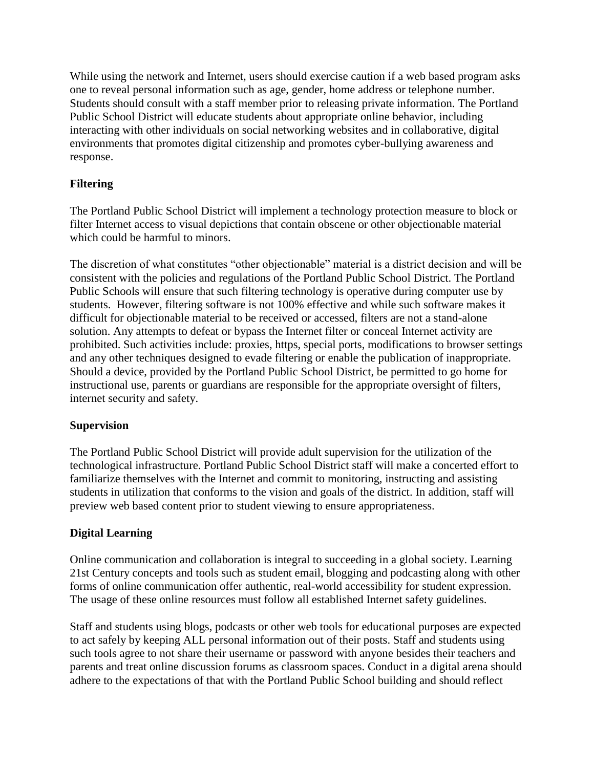While using the network and Internet, users should exercise caution if a web based program asks one to reveal personal information such as age, gender, home address or telephone number. Students should consult with a staff member prior to releasing private information. The Portland Public School District will educate students about appropriate online behavior, including interacting with other individuals on social networking websites and in collaborative, digital environments that promotes digital citizenship and promotes cyber-bullying awareness and response.

# **Filtering**

The Portland Public School District will implement a technology protection measure to block or filter Internet access to visual depictions that contain obscene or other objectionable material which could be harmful to minors.

The discretion of what constitutes "other objectionable" material is a district decision and will be consistent with the policies and regulations of the Portland Public School District. The Portland Public Schools will ensure that such filtering technology is operative during computer use by students. However, filtering software is not 100% effective and while such software makes it difficult for objectionable material to be received or accessed, filters are not a stand-alone solution. Any attempts to defeat or bypass the Internet filter or conceal Internet activity are prohibited. Such activities include: proxies, https, special ports, modifications to browser settings and any other techniques designed to evade filtering or enable the publication of inappropriate. Should a device, provided by the Portland Public School District, be permitted to go home for instructional use, parents or guardians are responsible for the appropriate oversight of filters, internet security and safety.

# **Supervision**

The Portland Public School District will provide adult supervision for the utilization of the technological infrastructure. Portland Public School District staff will make a concerted effort to familiarize themselves with the Internet and commit to monitoring, instructing and assisting students in utilization that conforms to the vision and goals of the district. In addition, staff will preview web based content prior to student viewing to ensure appropriateness.

# **Digital Learning**

Online communication and collaboration is integral to succeeding in a global society. Learning 21st Century concepts and tools such as student email, blogging and podcasting along with other forms of online communication offer authentic, real-world accessibility for student expression. The usage of these online resources must follow all established Internet safety guidelines.

Staff and students using blogs, podcasts or other web tools for educational purposes are expected to act safely by keeping ALL personal information out of their posts. Staff and students using such tools agree to not share their username or password with anyone besides their teachers and parents and treat online discussion forums as classroom spaces. Conduct in a digital arena should adhere to the expectations of that with the Portland Public School building and should reflect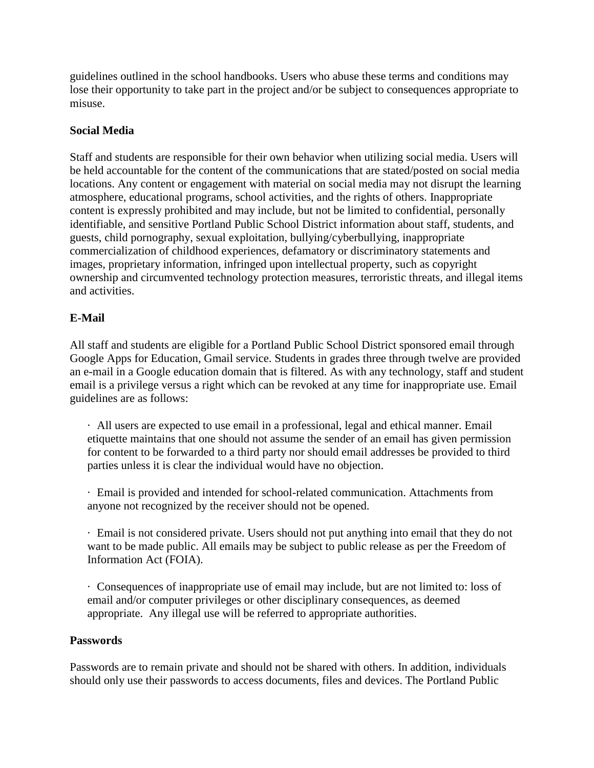guidelines outlined in the school handbooks. Users who abuse these terms and conditions may lose their opportunity to take part in the project and/or be subject to consequences appropriate to misuse.

# **Social Media**

Staff and students are responsible for their own behavior when utilizing social media. Users will be held accountable for the content of the communications that are stated/posted on social media locations. Any content or engagement with material on social media may not disrupt the learning atmosphere, educational programs, school activities, and the rights of others. Inappropriate content is expressly prohibited and may include, but not be limited to confidential, personally identifiable, and sensitive Portland Public School District information about staff, students, and guests, child pornography, sexual exploitation, bullying/cyberbullying, inappropriate commercialization of childhood experiences, defamatory or discriminatory statements and images, proprietary information, infringed upon intellectual property, such as copyright ownership and circumvented technology protection measures, terroristic threats, and illegal items and activities.

# **E-Mail**

All staff and students are eligible for a Portland Public School District sponsored email through Google Apps for Education, Gmail service. Students in grades three through twelve are provided an e-mail in a Google education domain that is filtered. As with any technology, staff and student email is a privilege versus a right which can be revoked at any time for inappropriate use. Email guidelines are as follows:

· All users are expected to use email in a professional, legal and ethical manner. Email etiquette maintains that one should not assume the sender of an email has given permission for content to be forwarded to a third party nor should email addresses be provided to third parties unless it is clear the individual would have no objection.

· Email is provided and intended for school-related communication. Attachments from anyone not recognized by the receiver should not be opened.

· Email is not considered private. Users should not put anything into email that they do not want to be made public. All emails may be subject to public release as per the Freedom of Information Act (FOIA).

· Consequences of inappropriate use of email may include, but are not limited to: loss of email and/or computer privileges or other disciplinary consequences, as deemed appropriate. Any illegal use will be referred to appropriate authorities.

#### **Passwords**

Passwords are to remain private and should not be shared with others. In addition, individuals should only use their passwords to access documents, files and devices. The Portland Public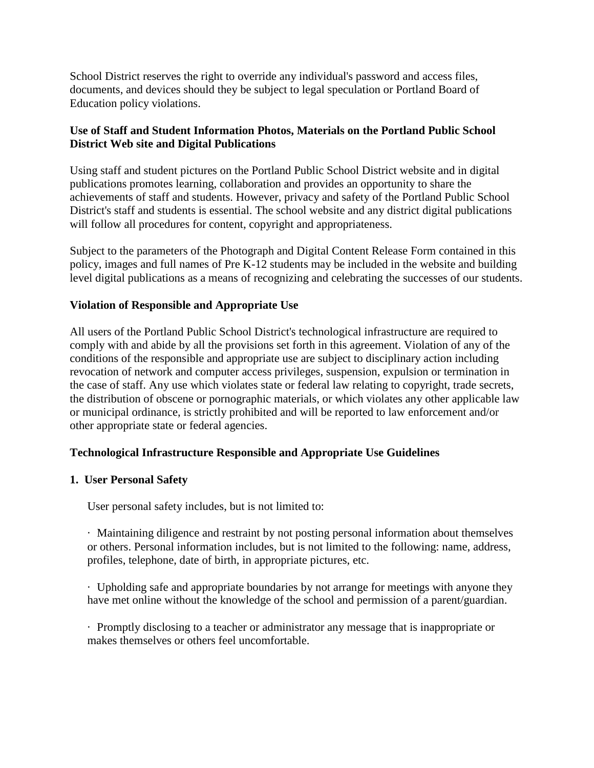School District reserves the right to override any individual's password and access files, documents, and devices should they be subject to legal speculation or Portland Board of Education policy violations.

# **Use of Staff and Student Information Photos, Materials on the Portland Public School District Web site and Digital Publications**

Using staff and student pictures on the Portland Public School District website and in digital publications promotes learning, collaboration and provides an opportunity to share the achievements of staff and students. However, privacy and safety of the Portland Public School District's staff and students is essential. The school website and any district digital publications will follow all procedures for content, copyright and appropriateness.

Subject to the parameters of the Photograph and Digital Content Release Form contained in this policy, images and full names of Pre K-12 students may be included in the website and building level digital publications as a means of recognizing and celebrating the successes of our students.

### **Violation of Responsible and Appropriate Use**

All users of the Portland Public School District's technological infrastructure are required to comply with and abide by all the provisions set forth in this agreement. Violation of any of the conditions of the responsible and appropriate use are subject to disciplinary action including revocation of network and computer access privileges, suspension, expulsion or termination in the case of staff. Any use which violates state or federal law relating to copyright, trade secrets, the distribution of obscene or pornographic materials, or which violates any other applicable law or municipal ordinance, is strictly prohibited and will be reported to law enforcement and/or other appropriate state or federal agencies.

# **Technological Infrastructure Responsible and Appropriate Use Guidelines**

#### **1. User Personal Safety**

User personal safety includes, but is not limited to:

· Maintaining diligence and restraint by not posting personal information about themselves or others. Personal information includes, but is not limited to the following: name, address, profiles, telephone, date of birth, in appropriate pictures, etc.

· Upholding safe and appropriate boundaries by not arrange for meetings with anyone they have met online without the knowledge of the school and permission of a parent/guardian.

· Promptly disclosing to a teacher or administrator any message that is inappropriate or makes themselves or others feel uncomfortable.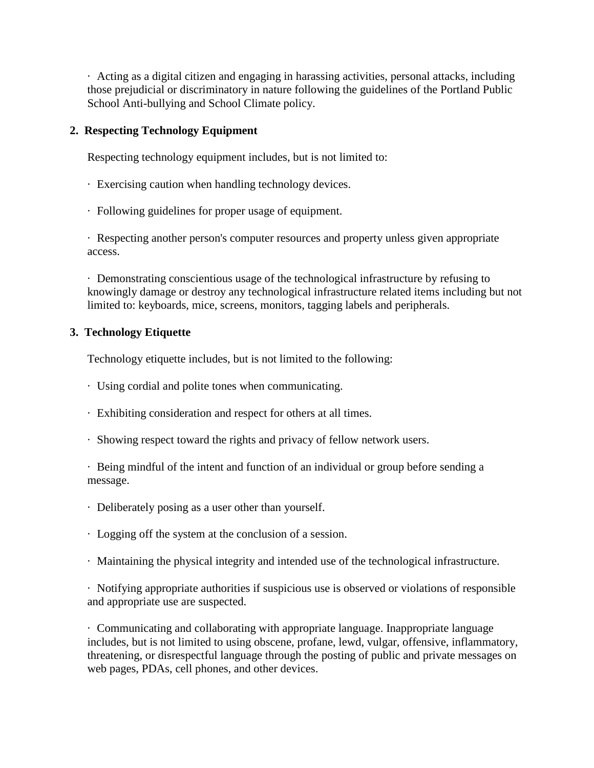· Acting as a digital citizen and engaging in harassing activities, personal attacks, including those prejudicial or discriminatory in nature following the guidelines of the Portland Public School Anti-bullying and School Climate policy.

# **2. Respecting Technology Equipment**

Respecting technology equipment includes, but is not limited to:

- · Exercising caution when handling technology devices.
- · Following guidelines for proper usage of equipment.

· Respecting another person's computer resources and property unless given appropriate access.

· Demonstrating conscientious usage of the technological infrastructure by refusing to knowingly damage or destroy any technological infrastructure related items including but not limited to: keyboards, mice, screens, monitors, tagging labels and peripherals.

# **3. Technology Etiquette**

Technology etiquette includes, but is not limited to the following:

- · Using cordial and polite tones when communicating.
- · Exhibiting consideration and respect for others at all times.
- · Showing respect toward the rights and privacy of fellow network users.

· Being mindful of the intent and function of an individual or group before sending a message.

- · Deliberately posing as a user other than yourself.
- · Logging off the system at the conclusion of a session.
- · Maintaining the physical integrity and intended use of the technological infrastructure.

· Notifying appropriate authorities if suspicious use is observed or violations of responsible and appropriate use are suspected.

· Communicating and collaborating with appropriate language. Inappropriate language includes, but is not limited to using obscene, profane, lewd, vulgar, offensive, inflammatory, threatening, or disrespectful language through the posting of public and private messages on web pages, PDAs, cell phones, and other devices.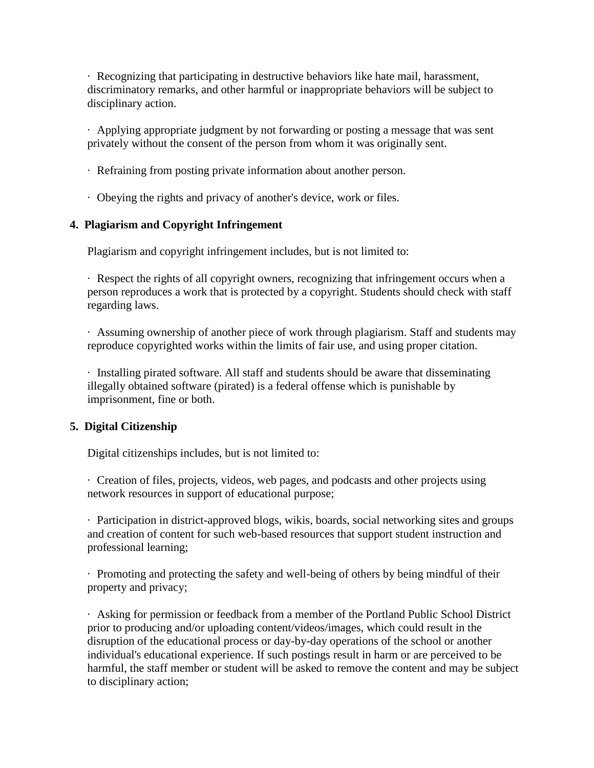· Recognizing that participating in destructive behaviors like hate mail, harassment, discriminatory remarks, and other harmful or inappropriate behaviors will be subject to disciplinary action.

· Applying appropriate judgment by not forwarding or posting a message that was sent privately without the consent of the person from whom it was originally sent.

- · Refraining from posting private information about another person.
- · Obeying the rights and privacy of another's device, work or files.

### **4. Plagiarism and Copyright Infringement**

Plagiarism and copyright infringement includes, but is not limited to:

· Respect the rights of all copyright owners, recognizing that infringement occurs when a person reproduces a work that is protected by a copyright. Students should check with staff regarding laws.

· Assuming ownership of another piece of work through plagiarism. Staff and students may reproduce copyrighted works within the limits of fair use, and using proper citation.

· Installing pirated software. All staff and students should be aware that disseminating illegally obtained software (pirated) is a federal offense which is punishable by imprisonment, fine or both.

# **5. Digital Citizenship**

Digital citizenships includes, but is not limited to:

· Creation of files, projects, videos, web pages, and podcasts and other projects using network resources in support of educational purpose;

· Participation in district-approved blogs, wikis, boards, social networking sites and groups and creation of content for such web-based resources that support student instruction and professional learning;

· Promoting and protecting the safety and well-being of others by being mindful of their property and privacy;

· Asking for permission or feedback from a member of the Portland Public School District prior to producing and/or uploading content/videos/images, which could result in the disruption of the educational process or day-by-day operations of the school or another individual's educational experience. If such postings result in harm or are perceived to be harmful, the staff member or student will be asked to remove the content and may be subject to disciplinary action;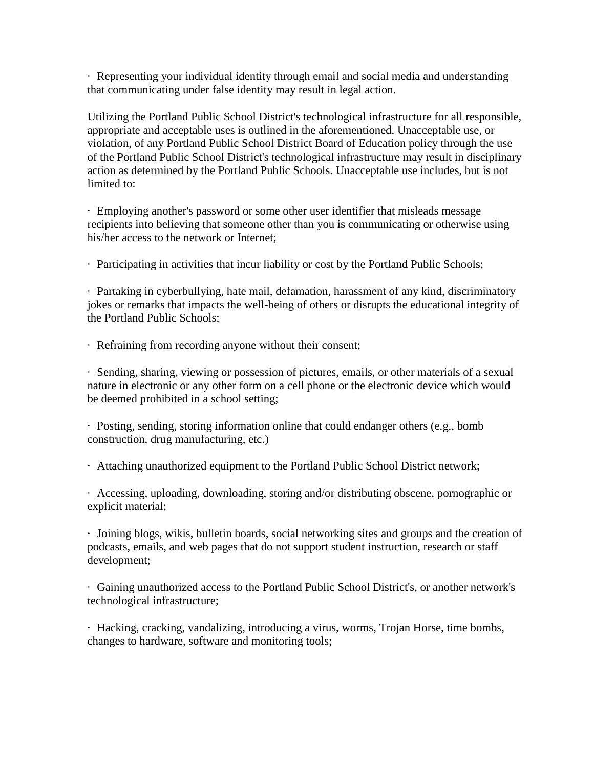· Representing your individual identity through email and social media and understanding that communicating under false identity may result in legal action.

Utilizing the Portland Public School District's technological infrastructure for all responsible, appropriate and acceptable uses is outlined in the aforementioned. Unacceptable use, or violation, of any Portland Public School District Board of Education policy through the use of the Portland Public School District's technological infrastructure may result in disciplinary action as determined by the Portland Public Schools. Unacceptable use includes, but is not limited to:

· Employing another's password or some other user identifier that misleads message recipients into believing that someone other than you is communicating or otherwise using his/her access to the network or Internet;

· Participating in activities that incur liability or cost by the Portland Public Schools;

· Partaking in cyberbullying, hate mail, defamation, harassment of any kind, discriminatory jokes or remarks that impacts the well-being of others or disrupts the educational integrity of the Portland Public Schools;

· Refraining from recording anyone without their consent;

· Sending, sharing, viewing or possession of pictures, emails, or other materials of a sexual nature in electronic or any other form on a cell phone or the electronic device which would be deemed prohibited in a school setting;

· Posting, sending, storing information online that could endanger others (e.g., bomb construction, drug manufacturing, etc.)

· Attaching unauthorized equipment to the Portland Public School District network;

· Accessing, uploading, downloading, storing and/or distributing obscene, pornographic or explicit material;

· Joining blogs, wikis, bulletin boards, social networking sites and groups and the creation of podcasts, emails, and web pages that do not support student instruction, research or staff development;

· Gaining unauthorized access to the Portland Public School District's, or another network's technological infrastructure;

· Hacking, cracking, vandalizing, introducing a virus, worms, Trojan Horse, time bombs, changes to hardware, software and monitoring tools;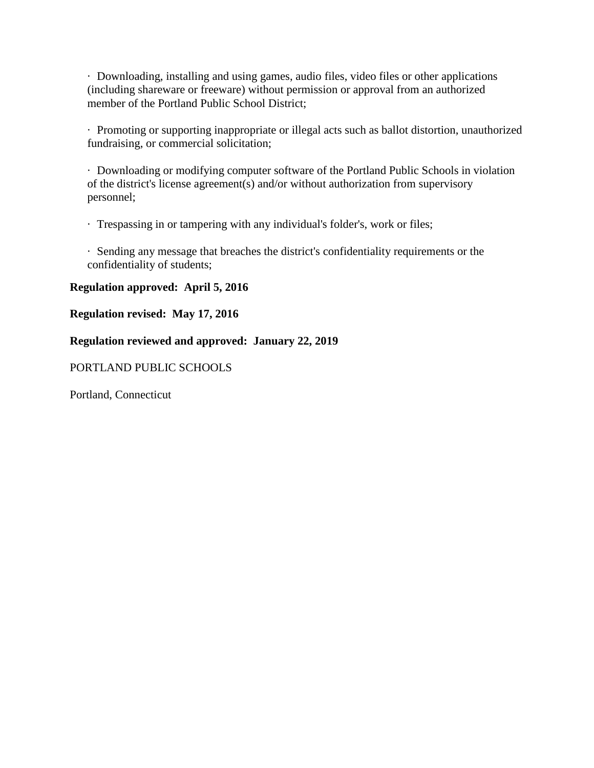· Downloading, installing and using games, audio files, video files or other applications (including shareware or freeware) without permission or approval from an authorized member of the Portland Public School District;

· Promoting or supporting inappropriate or illegal acts such as ballot distortion, unauthorized fundraising, or commercial solicitation;

· Downloading or modifying computer software of the Portland Public Schools in violation of the district's license agreement(s) and/or without authorization from supervisory personnel;

· Trespassing in or tampering with any individual's folder's, work or files;

· Sending any message that breaches the district's confidentiality requirements or the confidentiality of students;

### **Regulation approved: April 5, 2016**

#### **Regulation revised: May 17, 2016**

### **Regulation reviewed and approved: January 22, 2019**

### PORTLAND PUBLIC SCHOOLS

Portland, Connecticut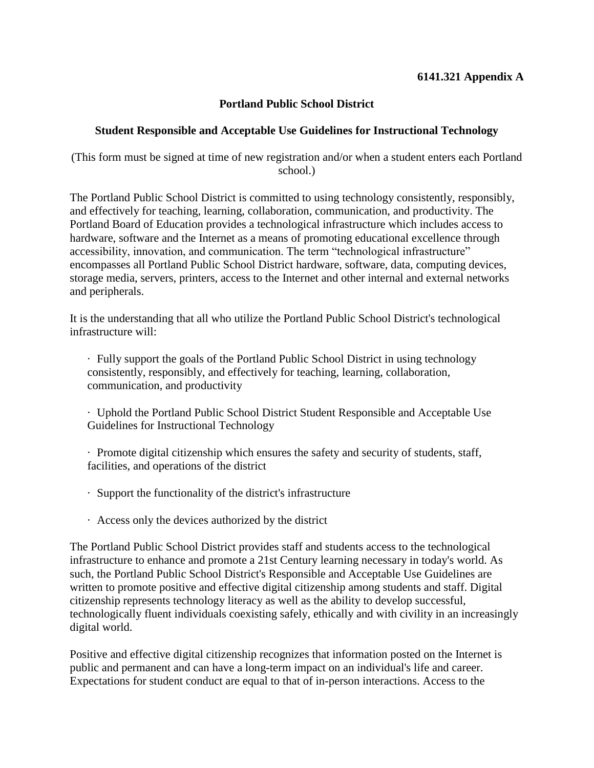# **6141.321 Appendix A**

# **Portland Public School District**

# **Student Responsible and Acceptable Use Guidelines for Instructional Technology**

(This form must be signed at time of new registration and/or when a student enters each Portland school.)

The Portland Public School District is committed to using technology consistently, responsibly, and effectively for teaching, learning, collaboration, communication, and productivity. The Portland Board of Education provides a technological infrastructure which includes access to hardware, software and the Internet as a means of promoting educational excellence through accessibility, innovation, and communication. The term "technological infrastructure" encompasses all Portland Public School District hardware, software, data, computing devices, storage media, servers, printers, access to the Internet and other internal and external networks and peripherals.

It is the understanding that all who utilize the Portland Public School District's technological infrastructure will:

· Fully support the goals of the Portland Public School District in using technology consistently, responsibly, and effectively for teaching, learning, collaboration, communication, and productivity

· Uphold the Portland Public School District Student Responsible and Acceptable Use Guidelines for Instructional Technology

· Promote digital citizenship which ensures the safety and security of students, staff, facilities, and operations of the district

- · Support the functionality of the district's infrastructure
- · Access only the devices authorized by the district

The Portland Public School District provides staff and students access to the technological infrastructure to enhance and promote a 21st Century learning necessary in today's world. As such, the Portland Public School District's Responsible and Acceptable Use Guidelines are written to promote positive and effective digital citizenship among students and staff. Digital citizenship represents technology literacy as well as the ability to develop successful, technologically fluent individuals coexisting safely, ethically and with civility in an increasingly digital world.

Positive and effective digital citizenship recognizes that information posted on the Internet is public and permanent and can have a long-term impact on an individual's life and career. Expectations for student conduct are equal to that of in-person interactions. Access to the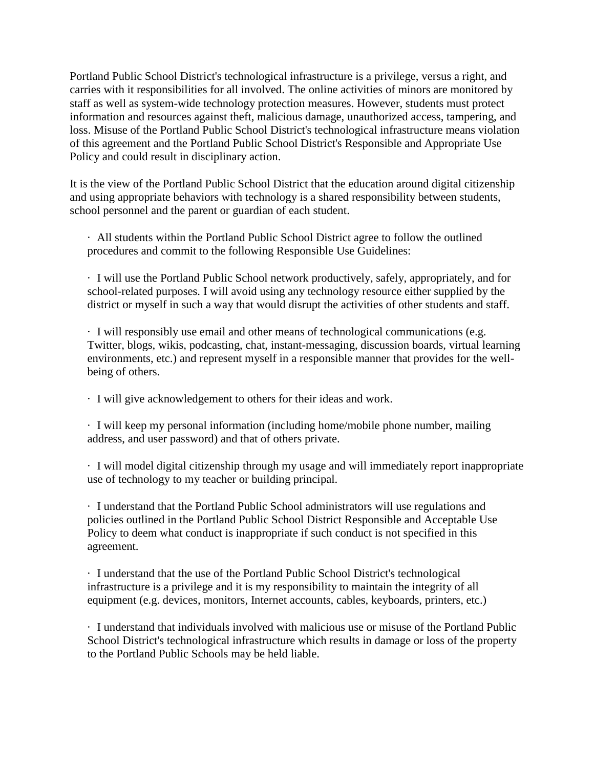Portland Public School District's technological infrastructure is a privilege, versus a right, and carries with it responsibilities for all involved. The online activities of minors are monitored by staff as well as system-wide technology protection measures. However, students must protect information and resources against theft, malicious damage, unauthorized access, tampering, and loss. Misuse of the Portland Public School District's technological infrastructure means violation of this agreement and the Portland Public School District's Responsible and Appropriate Use Policy and could result in disciplinary action.

It is the view of the Portland Public School District that the education around digital citizenship and using appropriate behaviors with technology is a shared responsibility between students, school personnel and the parent or guardian of each student.

· All students within the Portland Public School District agree to follow the outlined procedures and commit to the following Responsible Use Guidelines:

· I will use the Portland Public School network productively, safely, appropriately, and for school-related purposes. I will avoid using any technology resource either supplied by the district or myself in such a way that would disrupt the activities of other students and staff.

· I will responsibly use email and other means of technological communications (e.g. Twitter, blogs, wikis, podcasting, chat, instant-messaging, discussion boards, virtual learning environments, etc.) and represent myself in a responsible manner that provides for the wellbeing of others.

· I will give acknowledgement to others for their ideas and work.

· I will keep my personal information (including home/mobile phone number, mailing address, and user password) and that of others private.

· I will model digital citizenship through my usage and will immediately report inappropriate use of technology to my teacher or building principal.

· I understand that the Portland Public School administrators will use regulations and policies outlined in the Portland Public School District Responsible and Acceptable Use Policy to deem what conduct is inappropriate if such conduct is not specified in this agreement.

· I understand that the use of the Portland Public School District's technological infrastructure is a privilege and it is my responsibility to maintain the integrity of all equipment (e.g. devices, monitors, Internet accounts, cables, keyboards, printers, etc.)

· I understand that individuals involved with malicious use or misuse of the Portland Public School District's technological infrastructure which results in damage or loss of the property to the Portland Public Schools may be held liable.